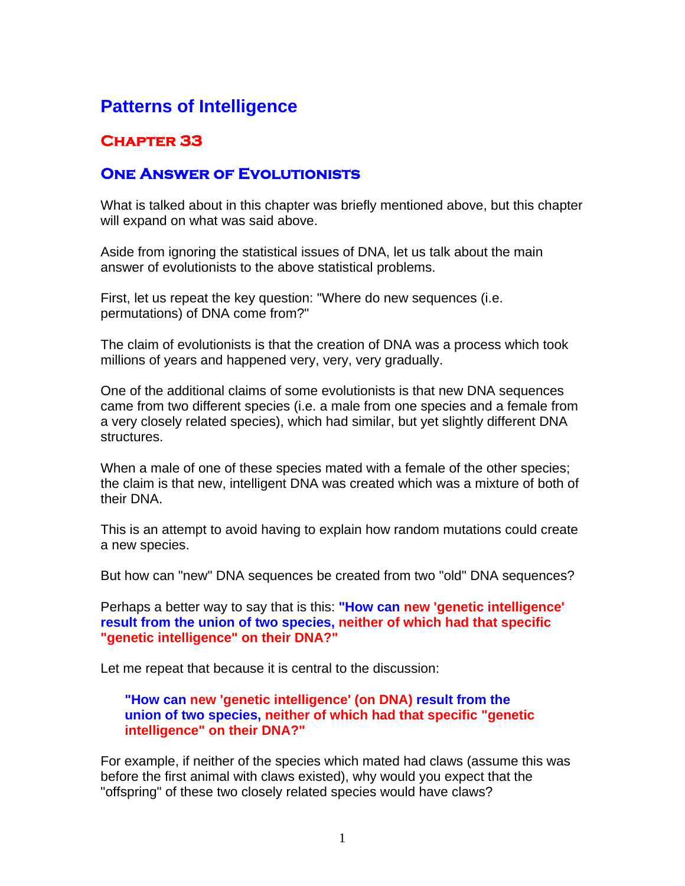# **Patterns of Intelligence**

## **Chapter 33**

### **One Answer of Evolutionists**

What is talked about in this chapter was briefly mentioned above, but this chapter will expand on what was said above.

Aside from ignoring the statistical issues of DNA, let us talk about the main answer of evolutionists to the above statistical problems.

First, let us repeat the key question: "Where do new sequences (i.e. permutations) of DNA come from?"

The claim of evolutionists is that the creation of DNA was a process which took millions of years and happened very, very, very gradually.

One of the additional claims of some evolutionists is that new DNA sequences came from two different species (i.e. a male from one species and a female from a very closely related species), which had similar, but yet slightly different DNA structures.

When a male of one of these species mated with a female of the other species; the claim is that new, intelligent DNA was created which was a mixture of both of their DNA.

This is an attempt to avoid having to explain how random mutations could create a new species.

But how can "new" DNA sequences be created from two "old" DNA sequences?

Perhaps a better way to say that is this: **"How can new 'genetic intelligence' result from the union of two species, neither of which had that specific "genetic intelligence" on their DNA?"**

Let me repeat that because it is central to the discussion:

### **"How can new 'genetic intelligence' (on DNA) result from the union of two species, neither of which had that specific "genetic intelligence" on their DNA?"**

For example, if neither of the species which mated had claws (assume this was before the first animal with claws existed), why would you expect that the "offspring" of these two closely related species would have claws?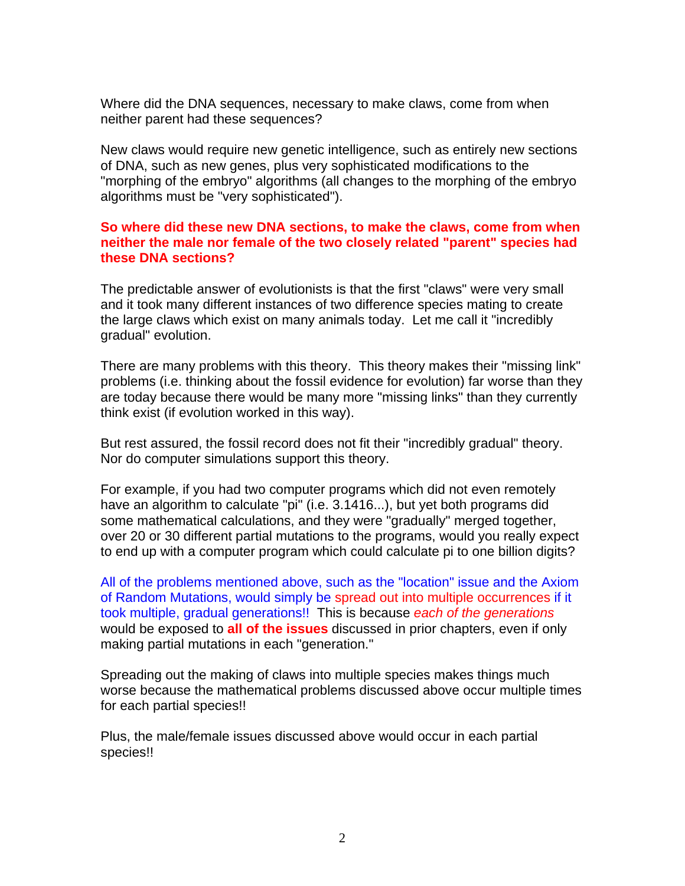Where did the DNA sequences, necessary to make claws, come from when neither parent had these sequences?

New claws would require new genetic intelligence, such as entirely new sections of DNA, such as new genes, plus very sophisticated modifications to the "morphing of the embryo" algorithms (all changes to the morphing of the embryo algorithms must be "very sophisticated").

### **So where did these new DNA sections, to make the claws, come from when neither the male nor female of the two closely related "parent" species had these DNA sections?**

The predictable answer of evolutionists is that the first "claws" were very small and it took many different instances of two difference species mating to create the large claws which exist on many animals today. Let me call it "incredibly gradual" evolution.

There are many problems with this theory. This theory makes their "missing link" problems (i.e. thinking about the fossil evidence for evolution) far worse than they are today because there would be many more "missing links" than they currently think exist (if evolution worked in this way).

But rest assured, the fossil record does not fit their "incredibly gradual" theory. Nor do computer simulations support this theory.

For example, if you had two computer programs which did not even remotely have an algorithm to calculate "pi" (i.e. 3.1416...), but yet both programs did some mathematical calculations, and they were "gradually" merged together, over 20 or 30 different partial mutations to the programs, would you really expect to end up with a computer program which could calculate pi to one billion digits?

All of the problems mentioned above, such as the "location" issue and the Axiom of Random Mutations, would simply be spread out into multiple occurrences if it took multiple, gradual generations!! This is because *each of the generations* would be exposed to **all of the issues** discussed in prior chapters, even if only making partial mutations in each "generation."

Spreading out the making of claws into multiple species makes things much worse because the mathematical problems discussed above occur multiple times for each partial species!!

Plus, the male/female issues discussed above would occur in each partial species!!